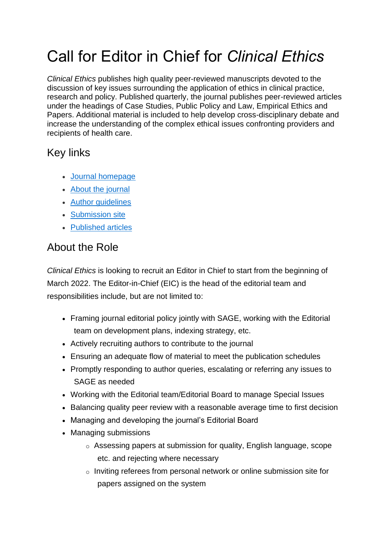# Call for Editor in Chief for *Clinical Ethics*

*Clinical Ethics* publishes high quality peer-reviewed manuscripts devoted to the discussion of key issues surrounding the application of ethics in clinical practice, research and policy. Published quarterly, the journal publishes peer-reviewed articles under the headings of Case Studies, Public Policy and Law, Empirical Ethics and Papers. Additional material is included to help develop cross-disciplinary debate and increase the understanding of the complex ethical issues confronting providers and recipients of health care.

#### Key links

- [Journal homepage](https://journals.sagepub.com/home/cet)
- [About the journal](https://journals.sagepub.com/description/CET)
- [Author guidelines](https://journals.sagepub.com/author-instructions/CET)
- [Submission site](https://mc.manuscriptcentral.com/rsmp-ce)
- [Published articles](https://journals.sagepub.com/loi/CET)

#### About the Role

*Clinical Ethics* is looking to recruit an Editor in Chief to start from the beginning of March 2022. The Editor-in-Chief (EIC) is the head of the editorial team and responsibilities include, but are not limited to:

- Framing journal editorial policy jointly with SAGE, working with the Editorial team on development plans, indexing strategy, etc.
- Actively recruiting authors to contribute to the journal
- Ensuring an adequate flow of material to meet the publication schedules
- Promptly responding to author queries, escalating or referring any issues to SAGE as needed
- Working with the Editorial team/Editorial Board to manage Special Issues
- Balancing quality peer review with a reasonable average time to first decision
- Managing and developing the journal's Editorial Board
- Managing submissions
	- o Assessing papers at submission for quality, English language, scope etc. and rejecting where necessary
	- o Inviting referees from personal network or online submission site for papers assigned on the system